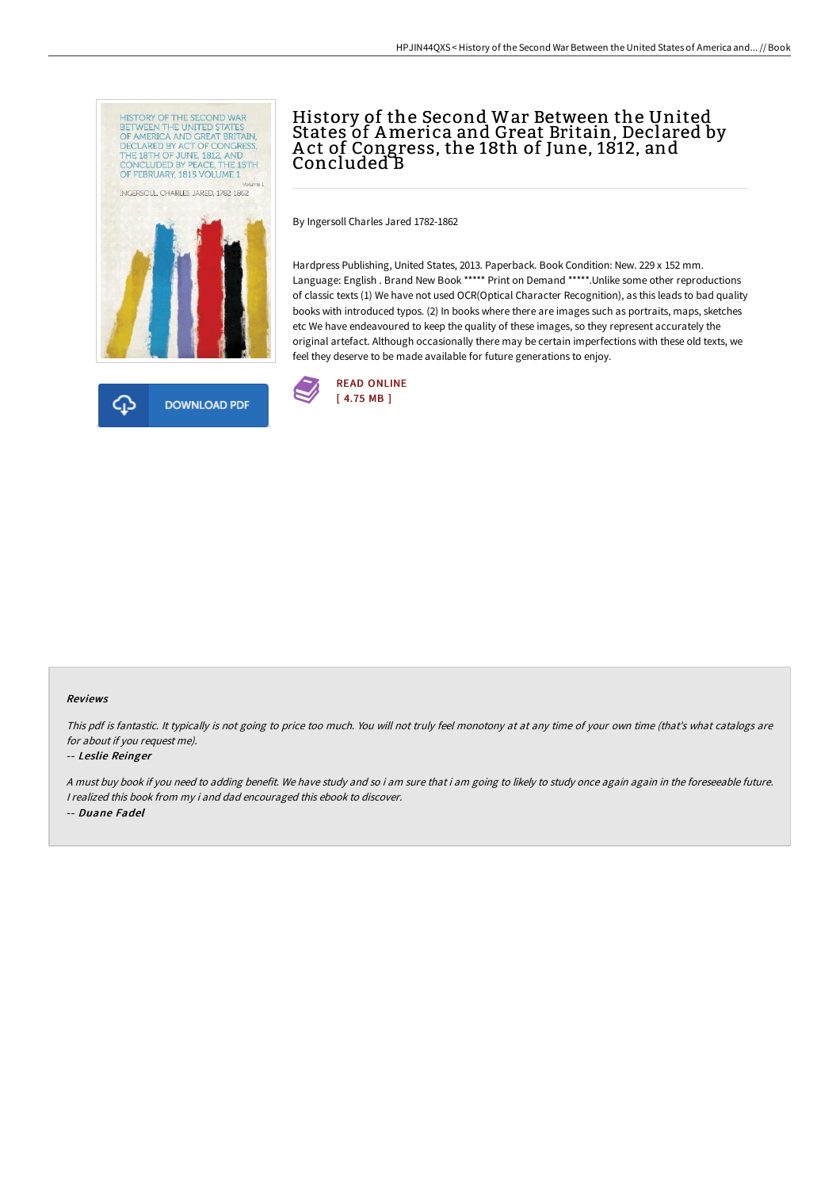



# History of the Second War Between the United States of America and Great Britain, Declared by A ct of Congress, the 18th of June, 1812, and Concluded B

By Ingersoll Charles Jared 1782-1862

Hardpress Publishing, United States, 2013. Paperback. Book Condition: New. 229 x 152 mm. Language: English . Brand New Book \*\*\*\*\* Print on Demand \*\*\*\*\*. Unlike some other reproductions of classic texts (1) We have not used OCR(Optical Character Recognition), as this leads to bad quality books with introduced typos. (2) In books where there are images such as portraits, maps, sketches etc We have endeavoured to keep the quality of these images, so they represent accurately the original artefact. Although occasionally there may be certain imperfections with these old texts, we feel they deserve to be made available for future generations to enjoy.



#### Reviews

This pdf is fantastic. It typically is not going to price too much. You will not truly feel monotony at at any time of your own time (that's what catalogs are for about if you request me).

#### -- Leslie Reinger

<sup>A</sup> must buy book if you need to adding benefit. We have study and so i am sure that i am going to likely to study once again again in the foreseeable future. <sup>I</sup> realized this book from my i and dad encouraged this ebook to discover. -- Duane Fadel